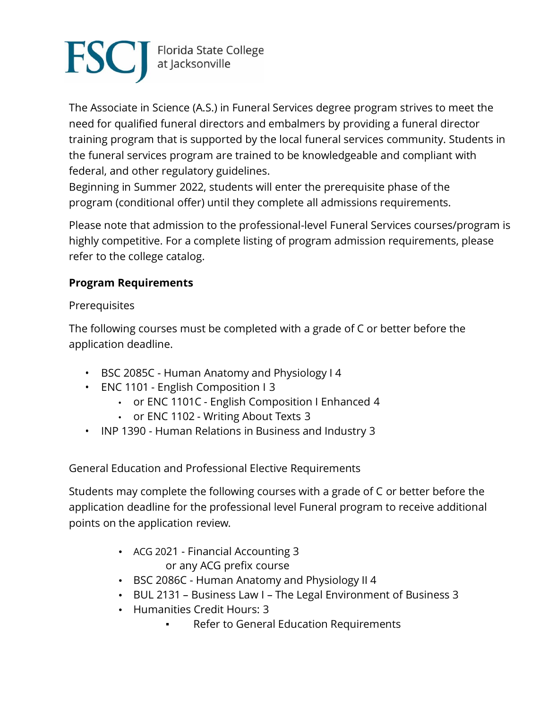

The Associate in Science (A.S.) in Funeral Services degree program strives to meet the need for qualified funeral directors and embalmers by providing a funeral director training program that is supported by the local funeral services community. Students in the funeral services program are trained to be knowledgeable and compliant with federal, and other regulatory guidelines.

Beginning in Summer 2022, students will enter the prerequisite phase of the program (conditional offer) until they complete all admissions requirements.

Please note that admission to the professional-level Funeral Services courses/program is highly competitive. For a complete listing of program admission requirements, please refer to the college catalog.

## **Program Requirements**

**Prerequisites** 

The following courses must be completed with a grade of C or better before the application deadline.

- BSC 2085C Human Anatomy and Physiology I 4
- ENC 1101 English Composition I 3
	- or ENC 1101C English Composition I Enhanced 4
	- or ENC 1102 Writing About Texts 3
- INP 1390 Human Relations in Business and Industry 3

General Education and Professional Elective Requirements

Students may complete the following courses with a grade of C or better before the application deadline for the professional level Funeral program to receive additional points on the application review.

- ACG 2021 [Financial Accounting](https://catalog.fscj.edu/preview_course_nopop.php?catoid=44&coid=109729) [3](https://catalog.fscj.edu/preview_course_nopop.php?catoid=44&coid=109729) or any ACG prefix course
- BSC 2086C [Human Anatomy and Physiology II](https://catalog.fscj.edu/preview_course_nopop.php?catoid=44&coid=109870) 4
- BUL 2131 Business Law I The Legal Environment of Business 3
- Humanities Credit Hours: 3
	- **Refer to General Education Requirements**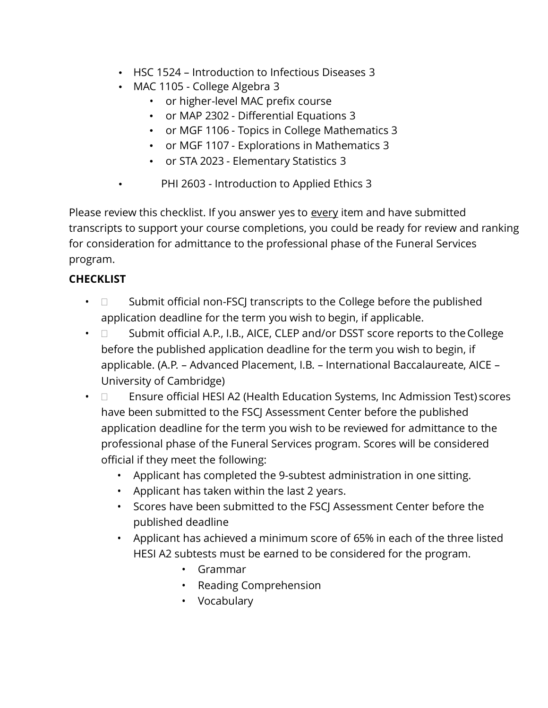- HSC 1524 Introduction to Infectious Diseases 3
- MAC 1105 [College Algebra](https://catalog.fscj.edu/preview_course_nopop.php?catoid=44&coid=110374) 3
	- or higher-level MAC prefix course
	- or MAP 2302 [Differential Equations](https://catalog.fscj.edu/preview_course_nopop.php?catoid=44&) 3
	- or MGF 1106 [Topics in College Mathematics](https://catalog.fscj.edu/preview_course_nopop.php?catoid=44&coid=110437) 3
	- or MGF 1107 [Explorations in Mathematics](https://catalog.fscj.edu/preview_course_nopop.php?catoid=44&coid=110438) 3
	- or STA 2023 [Elementary Statistics](https://catalog.fscj.edu/preview_course_nopop.php?catoid=44&coid=110794) 3
- PHI 2603 Introduction to Applied Ethics 3

Please review this checklist. If you answer yes to every item and have submitted transcripts to support your course completions, you could be ready for review and ranking for consideration for admittance to the professional phase of the Funeral Services program.

## **CHECKLIST**

- $\Box$  Submit official non-FSCJ transcripts to the College before the published application deadline for the term you wish to begin, if applicable.
- $\Box$  Submit official A.P., I.B., AICE, CLEP and/or DSST score reports to the College before the published application deadline for the term you wish to begin, if applicable. (A.P. – Advanced Placement, I.B. – International Baccalaureate, AICE – University of Cambridge)
- $\Box$  Ensure official HESI A2 (Health Education Systems, Inc Admission Test) scores have been submitted to the FSCJ Assessment Center before the published application deadline for the term you wish to be reviewed for admittance to the professional phase of the Funeral Services program. Scores will be considered official if they meet the following:
	- Applicant has completed the 9-subtest administration in one sitting.
	- Applicant has taken within the last 2 years.
	- Scores have been submitted to the FSCJ Assessment Center before the published deadline
	- Applicant has achieved a minimum score of 65% in each of the three listed HESI A2 subtests must be earned to be considered for the program.
		- Grammar
		- Reading Comprehension
		- Vocabulary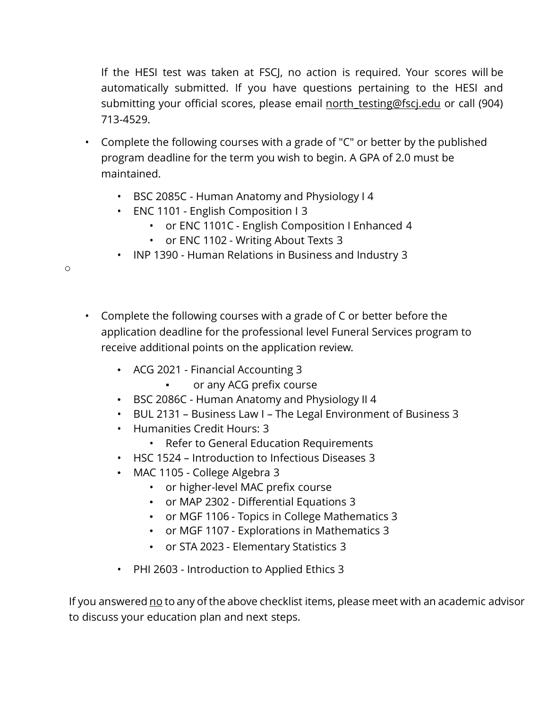If the HESI test was taken at FSCJ, no action is required. Your scores will be automatically submitted. If you have questions pertaining to the HESI and submitting your official scores, please email north testing@fscj.edu or call (904) 713-4529.

- Complete the following courses with a grade of "C" or better by the published program deadline for the term you wish to begin. A GPA of 2.0 must be maintained.
	- BSC 2085C Human Anatomy and Physiology I 4
	- ENC 1101 English Composition I 3
		- or ENC 1101C English Composition I Enhanced 4
		- or ENC 1102 Writing About Texts 3
	- INP 1390 Human Relations in Business and Industry 3
- Complete the following courses with a grade of C or better before the application deadline for the professional level Funeral Services program to receive additional points on the application review.
	- ACG 2021 [Financial Accounting](https://catalog.fscj.edu/preview_course_nop) 3
		- or any ACG prefix course
	- BSC 2086C [Human Anatomy and Physiology II](https://catalog.fscj.edu/preview_course_nopop.php?catoid=44&coid=109870) 4
	- BUL 2131 Business Law I The Legal Environment of Business 3
	- Humanities Credit Hours: 3
		- Refer to General Education Requirements
	- HSC 1524 Introduction to Infectious Diseases 3
	- MAC 1105 [College Algebra](https://catalog.fscj.edu/) 3
		- or higher-level MAC prefix course
		- or MAP 2302 [Differential Equations](https://catalog.fscj.edu/preview_course_nopop.php?catoid=44&coid=110382) 3
		- or MGF 1106 [Topics in College Mathematics](https://catalog.fscj.edu/preview_course_nopop.php?catoid=44&coid=110437) 3
		- or MGF 1107 [Explorations in Mathematics](https://catalog.fscj.edu/preview_course_nopop.php?catoid=44&coid=110438) 3
		- or STA 2023 [Elementary Statistics](https://catalog.fscj.edu/preview_course_nopop.php?catoid=44&coid=110794) 3
	- PHI 2603 Introduction to Applied Ethics 3

If you answered no to any of the above checklist items, please meet with an academic advisor to discuss your education plan and next steps.

o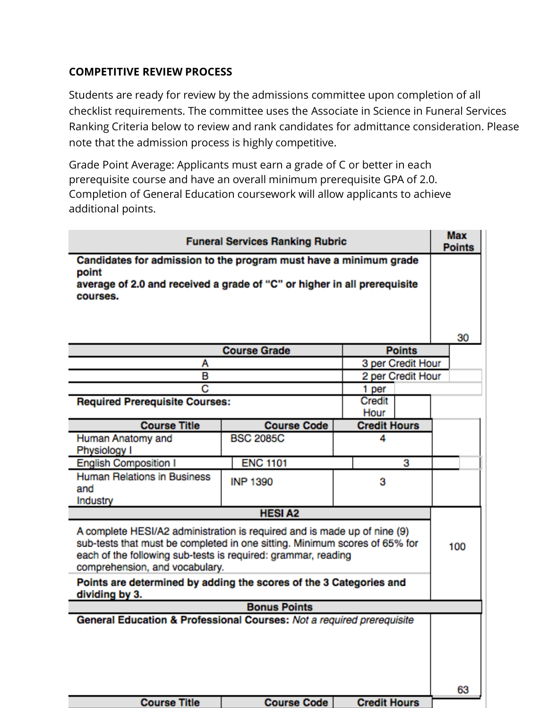## **COMPETITIVE REVIEW PROCESS**

Students are ready for review by the admissions committee upon completion of all checklist requirements. The committee uses the Associate in Science in Funeral Services Ranking Criteria below to review and rank candidates for admittance consideration. Please note that the admission process is highly competitive.

Grade Point Average: Applicants must earn a grade of C or better in each prerequisite course and have an overall minimum prerequisite GPA of 2.0. Completion of General Education coursework will allow applicants to achieve additional points.

| <b>Funeral Services Ranking Rubric</b>                                                                                                                                                                                                                                                                                          |                        |                          |   | <b>Max</b><br><b>Points</b> |  |
|---------------------------------------------------------------------------------------------------------------------------------------------------------------------------------------------------------------------------------------------------------------------------------------------------------------------------------|------------------------|--------------------------|---|-----------------------------|--|
| Candidates for admission to the program must have a minimum grade<br>point<br>average of 2.0 and received a grade of "C" or higher in all prerequisite<br>courses.                                                                                                                                                              |                        |                          |   |                             |  |
|                                                                                                                                                                                                                                                                                                                                 |                        |                          |   | 30                          |  |
| <b>Course Grade</b><br><b>Points</b>                                                                                                                                                                                                                                                                                            |                        |                          |   |                             |  |
| А                                                                                                                                                                                                                                                                                                                               |                        | 3 per Credit Hour        |   |                             |  |
|                                                                                                                                                                                                                                                                                                                                 | в<br>2 per Credit Hour |                          |   |                             |  |
|                                                                                                                                                                                                                                                                                                                                 | С<br>1 per             |                          |   |                             |  |
| <b>Required Prerequisite Courses:</b>                                                                                                                                                                                                                                                                                           |                        | Credit<br>Hour           |   |                             |  |
| <b>Course Title</b>                                                                                                                                                                                                                                                                                                             | <b>Course Code</b>     | <b>Credit Hours</b>      |   |                             |  |
| Human Anatomy and<br>Physiology I                                                                                                                                                                                                                                                                                               | <b>BSC 2085C</b>       | 4                        |   |                             |  |
| <b>English Composition I</b>                                                                                                                                                                                                                                                                                                    | <b>ENC 1101</b>        |                          | З |                             |  |
| <b>Human Relations in Business</b><br>and<br>Industry                                                                                                                                                                                                                                                                           | <b>INP 1390</b>        | 3                        |   |                             |  |
| <b>HESIA2</b>                                                                                                                                                                                                                                                                                                                   |                        |                          |   |                             |  |
| A complete HESI/A2 administration is required and is made up of nine (9)<br>sub-tests that must be completed in one sitting. Minimum scores of 65% for<br>each of the following sub-tests is required: grammar, reading<br>comprehension, and vocabulary.<br>Points are determined by adding the scores of the 3 Categories and |                        |                          |   | 100                         |  |
| dividing by 3.                                                                                                                                                                                                                                                                                                                  |                        |                          |   |                             |  |
| <b>Bonus Points</b><br>General Education & Professional Courses: Not a required prerequisite                                                                                                                                                                                                                                    |                        |                          |   |                             |  |
|                                                                                                                                                                                                                                                                                                                                 |                        |                          |   |                             |  |
|                                                                                                                                                                                                                                                                                                                                 |                        |                          |   | 63                          |  |
| Course Title                                                                                                                                                                                                                                                                                                                    |                        | Course Code Credit Hours |   |                             |  |